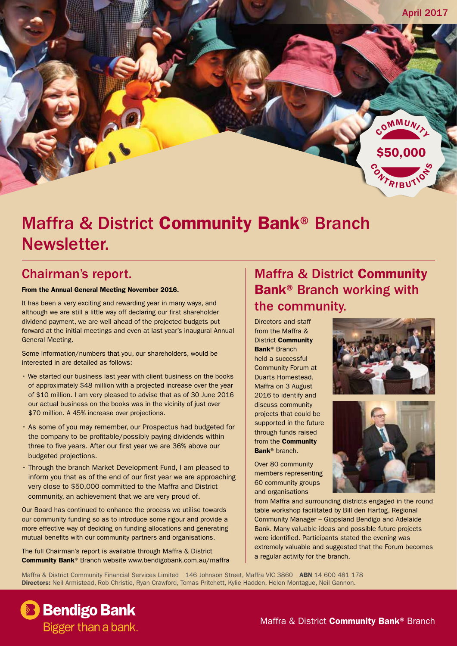

# Maffra & District Community Bank® Branch Newsletter.

## Chairman's report.

#### From the Annual General Meeting November 2016.

It has been a very exciting and rewarding year in many ways, and although we are still a little way off declaring our first shareholder dividend payment, we are well ahead of the projected budgets put forward at the initial meetings and even at last year's inaugural Annual General Meeting.

Some information/numbers that you, our shareholders, would be interested in are detailed as follows:

- We started our business last year with client business on the books of approximately \$48 million with a projected increase over the year of \$10 million. I am very pleased to advise that as of 30 June 2016 our actual business on the books was in the vicinity of just over \$70 million. A 45% increase over projections.
- As some of you may remember, our Prospectus had budgeted for the company to be profitable/possibly paying dividends within three to five years. After our first year we are 36% above our budgeted projections.
- Through the branch Market Development Fund, I am pleased to inform you that as of the end of our first year we are approaching very close to \$50,000 committed to the Maffra and District community, an achievement that we are very proud of.

Our Board has continued to enhance the process we utilise towards our community funding so as to introduce some rigour and provide a more effective way of deciding on funding allocations and generating mutual benefits with our community partners and organisations.

The full Chairman's report is available through Maffra & District Community Bank® Branch website www.bendigobank.com.au/maffra

## Maffra & District Community Bank® Branch working with the community.

Directors and staff from the Maffra & District Community Bank® Branch held a successful Community Forum at Duarts Homestead, Maffra on 3 August 2016 to identify and discuss community projects that could be supported in the future through funds raised from the Community Bank® branch.

Over 80 community members representing 60 community groups and organisations





from Maffra and surrounding districts engaged in the round table workshop facilitated by Bill den Hartog, Regional Community Manager – Gippsland Bendigo and Adelaide Bank. Many valuable ideas and possible future projects were identified. Participants stated the evening was extremely valuable and suggested that the Forum becomes a regular activity for the branch.

Maffra & District Community Financial Services Limited 146 Johnson Street, Maffra VIC 3860 ABN 14 600 481 178 Directors: Neil Armistead, Rob Christie, Ryan Crawford, Tomas Pritchett, Kylie Hadden, Helen Montague, Neil Gannon.

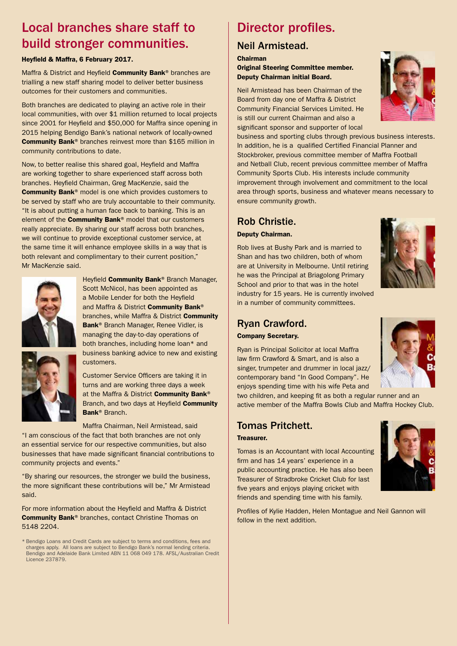## Local branches share staff to build stronger communities.

#### Heyfield & Maffra, 6 February 2017.

Maffra & District and Heyfield Community Bank® branches are trialling a new staff sharing model to deliver better business outcomes for their customers and communities.

Both branches are dedicated to playing an active role in their local communities, with over \$1 million returned to local projects since 2001 for Heyfield and \$50,000 for Maffra since opening in 2015 helping Bendigo Bank's national network of locally-owned Community Bank® branches reinvest more than \$165 million in community contributions to date.

Now, to better realise this shared goal, Heyfield and Maffra are working together to share experienced staff across both branches. Heyfield Chairman, Greg MacKenzie, said the Community Bank® model is one which provides customers to be served by staff who are truly accountable to their community. "It is about putting a human face back to banking. This is an element of the **Community Bank®** model that our customers really appreciate. By sharing our staff across both branches, we will continue to provide exceptional customer service, at the same time it will enhance employee skills in a way that is both relevant and complimentary to their current position," Mr MacKenzie said.



Heyfield Community Bank<sup>®</sup> Branch Manager, Scott McNicol, has been appointed as a Mobile Lender for both the Heyfield and Maffra & District Community Bank® branches, while Maffra & District Community Bank® Branch Manager, Renee Vidler, is managing the day-to-day operations of both branches, including home loan\* and business banking advice to new and existing customers.



Customer Service Officers are taking it in turns and are working three days a week at the Maffra & District **Community Bank®** Branch, and two days at Heyfield Community Bank® Branch.

Maffra Chairman, Neil Armistead, said

"I am conscious of the fact that both branches are not only an essential service for our respective communities, but also businesses that have made significant financial contributions to community projects and events."

"By sharing our resources, the stronger we build the business, the more significant these contributions will be," Mr Armistead said.

For more information about the Heyfield and Maffra & District Community Bank® branches, contact Christine Thomas on 5148 2204.

\* Bendigo Loans and Credit Cards are subject to terms and conditions, fees and charges apply. All loans are subject to Bendigo Bank's normal lending criteria. Bendigo and Adelaide Bank Limited ABN 11 068 049 178. AFSL/Australian Credit Licence 237879.

## Director profiles.

### Neil Armistead.

Chairman

Original Steering Committee member. Deputy Chairman initial Board.

Neil Armistead has been Chairman of the Board from day one of Maffra & District Community Financial Services Limited. He is still our current Chairman and also a significant sponsor and supporter of local



business and sporting clubs through previous business interests. In addition, he is a qualified Certified Financial Planner and Stockbroker, previous committee member of Maffra Football and Netball Club, recent previous committee member of Maffra Community Sports Club. His interests include community improvement through involvement and commitment to the local area through sports, business and whatever means necessary to ensure community growth.

#### Rob Christie.

Deputy Chairman.

Rob lives at Bushy Park and is married to Shan and has two children, both of whom are at University in Melbourne. Until retiring he was the Principal at Briagolong Primary School and prior to that was in the hotel industry for 15 years. He is currently involved in a number of community committees.



#### Ryan Crawford. Company Secretary.

Ryan is Principal Solicitor at local Maffra law firm Crawford & Smart, and is also a singer, trumpeter and drummer in local jazz/ contemporary band "In Good Company". He enjoys spending time with his wife Peta and



two children, and keeping fit as both a regular runner and an active member of the Maffra Bowls Club and Maffra Hockey Club.

### Tomas Pritchett.

#### Treasurer.

Tomas is an Accountant with local Accounting firm and has 14 years' experience in a public accounting practice. He has also been Treasurer of Stradbroke Cricket Club for last five years and enjoys playing cricket with friends and spending time with his family.



Profiles of Kylie Hadden, Helen Montague and Neil Gannon will follow in the next addition.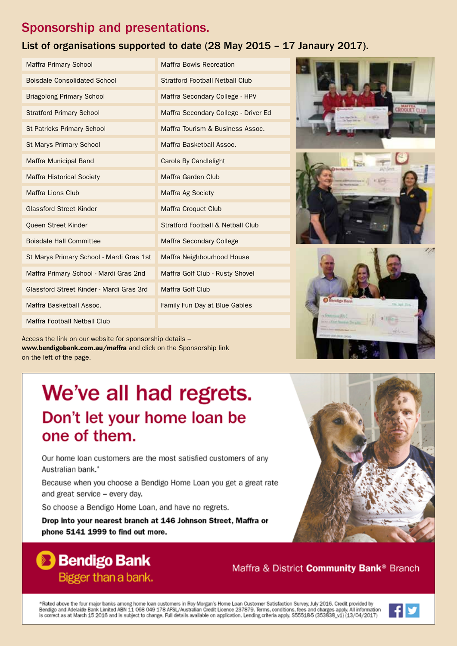## Sponsorship and presentations.

## List of organisations supported to date (28 May 2015 – 17 Janaury 2017).

| <b>Maffra Primary School</b>             | <b>Maffra Bowls Recreation</b>               |
|------------------------------------------|----------------------------------------------|
| <b>Boisdale Consolidated School</b>      | <b>Stratford Football Netball Club</b>       |
| <b>Briagolong Primary School</b>         | Maffra Secondary College - HPV               |
| <b>Stratford Primary School</b>          | Maffra Secondary College - Driver Ed         |
| <b>St Patricks Primary School</b>        | Maffra Tourism & Business Assoc.             |
| St Marys Primary School                  | Maffra Basketball Assoc.                     |
| <b>Maffra Municipal Band</b>             | <b>Carols By Candlelight</b>                 |
| <b>Maffra Historical Society</b>         | Maffra Garden Club                           |
| <b>Maffra Lions Club</b>                 | Maffra Ag Society                            |
| <b>Glassford Street Kinder</b>           | <b>Maffra Croquet Club</b>                   |
| Queen Street Kinder                      | <b>Stratford Football &amp; Netball Club</b> |
| <b>Boisdale Hall Committee</b>           | <b>Maffra Secondary College</b>              |
| St Marys Primary School - Mardi Gras 1st | Maffra Neighbourhood House                   |
| Maffra Primary School - Mardi Gras 2nd   | Maffra Golf Club - Rusty Shovel              |
| Glassford Street Kinder - Mardi Gras 3rd | Maffra Golf Club                             |
| Maffra Basketball Assoc.                 | Family Fun Day at Blue Gables                |
| Maffra Football Netball Club             |                                              |
|                                          |                                              |

Access the link on our website for sponsorship details – www.bendigobank.com.au/maffra and click on the Sponsorship link on the left of the page.

# We've all had regrets. Don't let your home loan be one of them.

Our home loan customers are the most satisfied customers of any Australian bank.\*

Because when you choose a Bendigo Home Loan you get a great rate and great service - every day.

So choose a Bendigo Home Loan, and have no regrets.

Drop into your nearest branch at 146 Johnson Street, Maffra or phone 5141 1999 to find out more.

\*Rated above the four major banks among home loan customers in Roy Morgan's Home Loan Customer Satisfaction Survey, July 2016. Credit provided by<br>Bendigo and Adelaide Bank Limited ABN 11 068 049 178 AFSL/Australian Credit



Maffra & District Community Bank<sup>®</sup> Branch